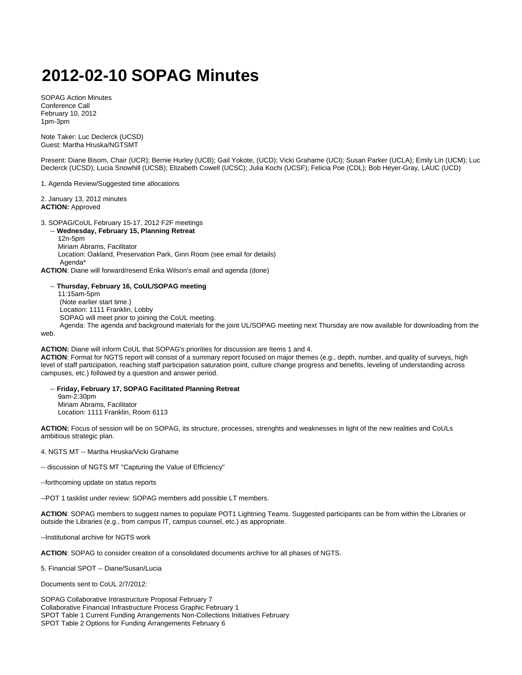## **2012-02-10 SOPAG Minutes**

SOPAG Action Minutes Conference Call February 10, 2012 1pm-3pm

Note Taker: Luc Declerck (UCSD) Guest: Martha Hruska/NGTSMT

Present: Diane Bisom, Chair (UCR); Bernie Hurley (UCB); Gail Yokote, (UCD); Vicki Grahame (UCI); Susan Parker (UCLA); Emily Lin (UCM); Luc Declerck (UCSD); Lucia Snowhill (UCSB); Elizabeth Cowell (UCSC); Julia Kochi (UCSF); Felicia Poe (CDL); Bob Heyer-Gray, LAUC (UCD)

1. Agenda Review/Suggested time allocations

2. January 13, 2012 minutes **ACTION:** Approved

3. SOPAG/CoUL February 15-17, 2012 F2F meetings

-- **Wednesday, February 15, Planning Retreat**

 12n-5pm Miriam Abrams, Facilitator Location: Oakland, Preservation Park, Ginn Room (see email for details) Agenda\*

**ACTION**: Diane will forward/resend Erika Wilson's email and agenda (done)

## -- **Thursday, February 16, CoUL/SOPAG meeting**

 11:15am-5pm (Note earlier start time.) Location: 1111 Franklin, Lobby SOPAG will meet prior to joining the CoUL meeting. Agenda: The agenda and background materials for the joint UL/SOPAG meeting next Thursday are now available for downloading from the

web.

**ACTION:** Diane will inform CoUL that SOPAG's priorities for discussion are Items 1 and 4.

**ACTION**: Format for NGTS report will consist of a summary report focused on major themes (e.g., depth, number, and quality of surveys, high level of staff participation, reaching staff participation saturation point, culture change progress and benefits, leveling of understanding across campuses, etc.) followed by a question and answer period.

 -- **Friday, February 17, SOPAG Facilitated Planning Retreat** 9am-2:30pm Miriam Abrams, Facilitator Location: 1111 Franklin, Room 6113

**ACTION:** Focus of session will be on SOPAG, its structure, processes, strenghts and weaknesses in light of the new realities and CoULs ambitious strategic plan.

4. NGTS MT -- Martha Hruska/Vicki Grahame

-- discussion of NGTS MT "Capturing the Value of Efficiency"

--forthcoming update on status reports

--POT 1 tasklist under review: SOPAG members add possible LT members.

**ACTION**: SOPAG members to suggest names to populate POT1 Lightning Teams. Suggested participants can be from within the Libraries or outside the Libraries (e.g., from campus IT, campus counsel, etc.) as appropriate.

--Institutional archive for NGTS work

**ACTION**: SOPAG to consider creation of a consolidated documents archive for all phases of NGTS.

5. Financial SPOT -- Diane/Susan/Lucia

Documents sent to CoUL 2/7/2012:

SOPAG Collaborative Intrastructure Proposal February 7 Collaborative Financial Infrastructure Process Graphic February 1 SPOT Table 1 Current Funding Arrangements Non-Collections Initiatives February SPOT Table 2 Options for Funding Arrangements February 6